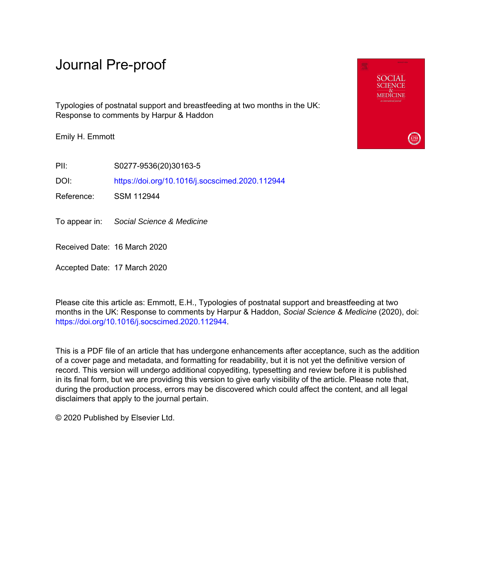# Journal Pre-proof

Typologies of postnatal support and breastfeeding at two months in the UK: Response to comments by Harpur & Haddon

Emily H. Emmott

PII: S0277-9536(20)30163-5

DOI: <https://doi.org/10.1016/j.socscimed.2020.112944>

Reference: SSM 112944

To appear in: Social Science & Medicine

Received Date: 16 March 2020

Accepted Date: 17 March 2020

Please cite this article as: Emmott, E.H., Typologies of postnatal support and breastfeeding at two months in the UK: Response to comments by Harpur & Haddon, *Social Science & Medicine* (2020), doi: [https://doi.org/10.1016/j.socscimed.2020.112944.](https://doi.org/10.1016/j.socscimed.2020.112944)

This is a PDF file of an article that has undergone enhancements after acceptance, such as the addition of a cover page and metadata, and formatting for readability, but it is not yet the definitive version of record. This version will undergo additional copyediting, typesetting and review before it is published in its final form, but we are providing this version to give early visibility of the article. Please note that, during the production process, errors may be discovered which could affect the content, and all legal disclaimers that apply to the journal pertain.

© 2020 Published by Elsevier Ltd.

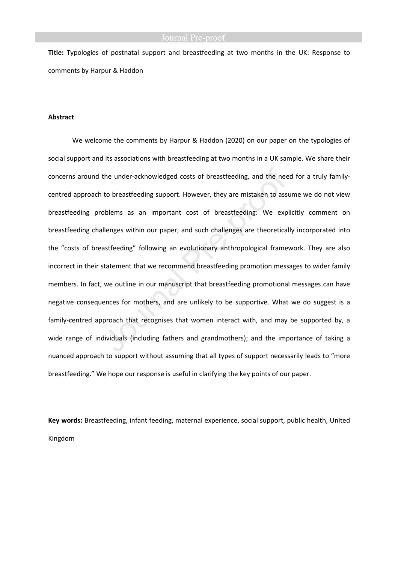**Title:** Typologies of postnatal support and breastfeeding at two months in the UK: Response to comments by Harpur & Haddon

### **Abstract**

We welcome the comments by Harpur & Haddon (2020) on our paper on the typologies of social support and its associations with breastfeeding at two months in a UK sample. We share their concerns around the under-acknowledged costs of breastfeeding, and the need for a truly familycentred approach to breastfeeding support. However, they are mistaken to assume we do not view breastfeeding problems as an important cost of breastfeeding: We explicitly comment on breastfeeding challenges within our paper, and such challenges are theoretically incorporated into the "costs of breastfeeding" following an evolutionary anthropological framework. They are also incorrect in their statement that we recommend breastfeeding promotion messages to wider family members. In fact, we outline in our manuscript that breastfeeding promotional messages can have negative consequences for mothers, and are unlikely to be supportive. What we do suggest is a family-centred approach that recognises that women interact with, and may be supported by, a wide range of individuals (including fathers and grandmothers); and the importance of taking a nuanced approach to support without assuming that all types of support necessarily leads to "more breastfeeding." We hope our response is useful in clarifying the key points of our paper.

**Key words:** Breastfeeding, infant feeding, maternal experience, social support, public health, United Kingdom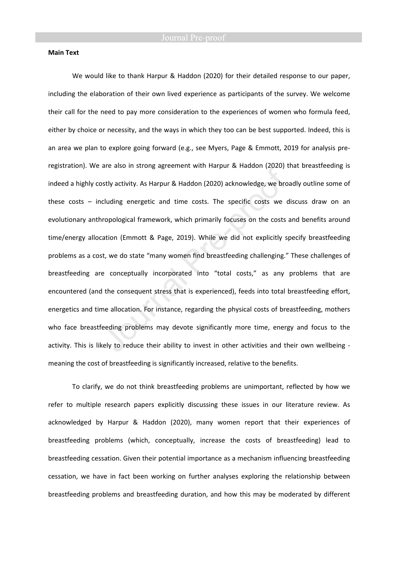## **Main Text**

We would like to thank Harpur & Haddon (2020) for their detailed response to our paper, including the elaboration of their own lived experience as participants of the survey. We welcome their call for the need to pay more consideration to the experiences of women who formula feed, either by choice or necessity, and the ways in which they too can be best supported. Indeed, this is an area we plan to explore going forward (e.g., see Myers, Page & Emmott, 2019 for analysis preregistration). We are also in strong agreement with Harpur & Haddon (2020) that breastfeeding is indeed a highly costly activity. As Harpur & Haddon (2020) acknowledge, we broadly outline some of these costs – including energetic and time costs. The specific costs we discuss draw on an evolutionary anthropological framework, which primarily focuses on the costs and benefits around time/energy allocation (Emmott & Page, 2019). While we did not explicitly specify breastfeeding problems as a cost, we do state "many women find breastfeeding challenging." These challenges of breastfeeding are conceptually incorporated into "total costs," as any problems that are encountered (and the consequent stress that is experienced), feeds into total breastfeeding effort, energetics and time allocation. For instance, regarding the physical costs of breastfeeding, mothers who face breastfeeding problems may devote significantly more time, energy and focus to the activity. This is likely to reduce their ability to invest in other activities and their own wellbeing meaning the cost of breastfeeding is significantly increased, relative to the benefits.

To clarify, we do not think breastfeeding problems are unimportant, reflected by how we refer to multiple research papers explicitly discussing these issues in our literature review. As acknowledged by Harpur & Haddon (2020), many women report that their experiences of breastfeeding problems (which, conceptually, increase the costs of breastfeeding) lead to breastfeeding cessation. Given their potential importance as a mechanism influencing breastfeeding cessation, we have in fact been working on further analyses exploring the relationship between breastfeeding problems and breastfeeding duration, and how this may be moderated by different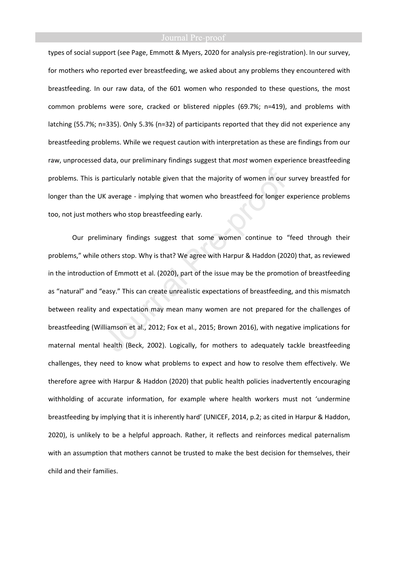types of social support (see Page, Emmott & Myers, 2020 for analysis pre-registration). In our survey, for mothers who reported ever breastfeeding, we asked about any problems they encountered with breastfeeding. In our raw data, of the 601 women who responded to these questions, the most common problems were sore, cracked or blistered nipples (69.7%; n=419), and problems with latching (55.7%; n=335). Only 5.3% (n=32) of participants reported that they did not experience any breastfeeding problems. While we request caution with interpretation as these are findings from our raw, unprocessed data, our preliminary findings suggest that *most* women experience breastfeeding problems. This is particularly notable given that the majority of women in our survey breastfed for longer than the UK average - implying that women who breastfeed for longer experience problems too, not just mothers who stop breastfeeding early.

Our preliminary findings suggest that some women continue to "feed through their problems," while others stop. Why is that? We agree with Harpur & Haddon (2020) that, as reviewed in the introduction of Emmott et al. (2020), part of the issue may be the promotion of breastfeeding as "natural" and "easy." This can create unrealistic expectations of breastfeeding, and this mismatch between reality and expectation may mean many women are not prepared for the challenges of breastfeeding (Williamson et al., 2012; Fox et al., 2015; Brown 2016), with negative implications for maternal mental health (Beck, 2002). Logically, for mothers to adequately tackle breastfeeding challenges, they need to know what problems to expect and how to resolve them effectively. We therefore agree with Harpur & Haddon (2020) that public health policies inadvertently encouraging withholding of accurate information, for example where health workers must not 'undermine breastfeeding by implying that it is inherently hard' (UNICEF, 2014, p.2; as cited in Harpur & Haddon, 2020), is unlikely to be a helpful approach. Rather, it reflects and reinforces medical paternalism with an assumption that mothers cannot be trusted to make the best decision for themselves, their child and their families.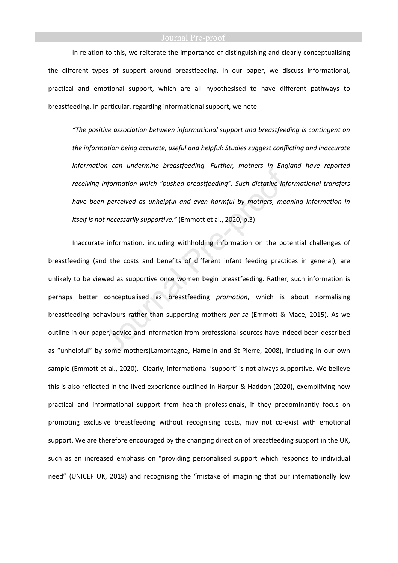In relation to this, we reiterate the importance of distinguishing and clearly conceptualising the different types of support around breastfeeding. In our paper, we discuss informational, practical and emotional support, which are all hypothesised to have different pathways to breastfeeding. In particular, regarding informational support, we note:

*"The positive association between informational support and breastfeeding is contingent on the information being accurate, useful and helpful: Studies suggest conflicting and inaccurate information can undermine breastfeeding. Further, mothers in England have reported receiving information which "pushed breastfeeding". Such dictative informational transfers have been perceived as unhelpful and even harmful by mothers, meaning information in itself is not necessarily supportive."* (Emmott et al., 2020, p.3)

Inaccurate information, including withholding information on the potential challenges of breastfeeding (and the costs and benefits of different infant feeding practices in general), are unlikely to be viewed as supportive once women begin breastfeeding. Rather, such information is perhaps better conceptualised as breastfeeding *promotion*, which is about normalising breastfeeding behaviours rather than supporting mothers *per se* (Emmott & Mace, 2015). As we outline in our paper, advice and information from professional sources have indeed been described as "unhelpful" by some mothers(Lamontagne, Hamelin and St-Pierre, 2008), including in our own sample (Emmott et al., 2020). Clearly, informational 'support' is not always supportive. We believe this is also reflected in the lived experience outlined in Harpur & Haddon (2020), exemplifying how practical and informational support from health professionals, if they predominantly focus on promoting exclusive breastfeeding without recognising costs, may not co-exist with emotional support. We are therefore encouraged by the changing direction of breastfeeding support in the UK, such as an increased emphasis on "providing personalised support which responds to individual need" (UNICEF UK, 2018) and recognising the "mistake of imagining that our internationally low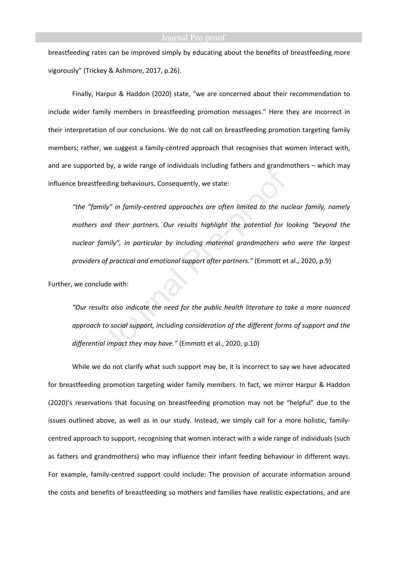breastfeeding rates can be improved simply by educating about the benefits of breastfeeding more vigorously" (Trickey & Ashmore, 2017, p.26).

Finally, Harpur & Haddon (2020) state, "we are concerned about their recommendation to include wider family members in breastfeeding promotion messages." Here they are incorrect in their interpretation of our conclusions. We do not call on breastfeeding promotion targeting family members; rather, we suggest a family-centred approach that recognises that women interact with, and are supported by, a wide range of individuals including fathers and grandmothers – which may influence breastfeeding behaviours. Consequently, we state:

*"the "family" in family-centred approaches are often limited to the nuclear family, namely mothers and their partners. Our results highlight the potential for looking "beyond the nuclear family", in particular by including maternal grandmothers who were the largest providers of practical and emotional support after partners."* (Emmott et al., 2020, p.9)

Further, we conclude with:

*"Our results also indicate the need for the public health literature to take a more nuanced approach to social support, including consideration of the different forms of support and the differential impact they may have."* (Emmott et al., 2020, p.10)

 While we do not clarify what such support may be, it is incorrect to say we have advocated for breastfeeding promotion targeting wider family members. In fact, we mirror Harpur & Haddon (2020)'s reservations that focusing on breastfeeding promotion may not be "helpful" due to the issues outlined above, as well as in our study. Instead, we simply call for a more holistic, familycentred approach to support, recognising that women interact with a wide range of individuals (such as fathers and grandmothers) who may influence their infant feeding behaviour in different ways. For example, family-centred support could include: The provision of accurate information around the costs and benefits of breastfeeding so mothers and families have realistic expectations, and are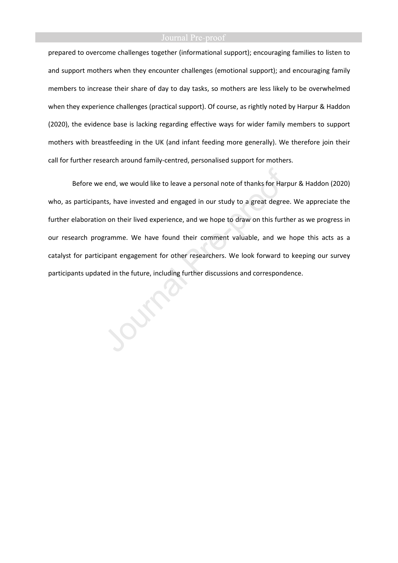prepared to overcome challenges together (informational support); encouraging families to listen to and support mothers when they encounter challenges (emotional support); and encouraging family members to increase their share of day to day tasks, so mothers are less likely to be overwhelmed when they experience challenges (practical support). Of course, as rightly noted by Harpur & Haddon (2020), the evidence base is lacking regarding effective ways for wider family members to support mothers with breastfeeding in the UK (and infant feeding more generally). We therefore join their call for further research around family-centred, personalised support for mothers.

Before we end, we would like to leave a personal note of thanks for Harpur & Haddon (2020) who, as participants, have invested and engaged in our study to a great degree. We appreciate the further elaboration on their lived experience, and we hope to draw on this further as we progress in our research programme. We have found their comment valuable, and we hope this acts as a catalyst for participant engagement for other researchers. We look forward to keeping our survey participants updated in the future, including further discussions and correspondence.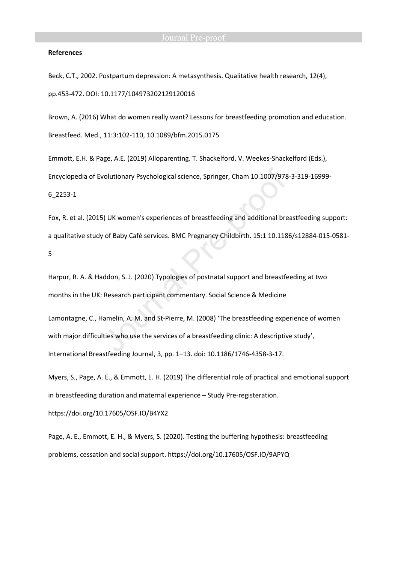### **References**

Beck, C.T., 2002. Postpartum depression: A metasynthesis. Qualitative health research, 12(4), pp.453-472. DOI: 10.1177/104973202129120016

Brown, A. (2016) What do women really want? Lessons for breastfeeding promotion and education. Breastfeed. Med., 11:3:102-110, 10.1089/bfm.2015.0175

Emmott, E.H. & Page, A.E. (2019) Alloparenting. T. Shackelford, V. Weekes-Shackelford (Eds.), Encyclopedia of Evolutionary Psychological science, Springer, Cham 10.1007/978-3-319-16999-

6\_2253-1

Fox, R. et al. (2015) UK women's experiences of breastfeeding and additional breastfeeding support: a qualitative study of Baby Café services. BMC Pregnancy Childbirth. 15:1 10.1186/s12884-015-0581- 5

Harpur, R. A. & Haddon, S. J. (2020) Typologies of postnatal support and breastfeeding at two months in the UK: Research participant commentary. Social Science & Medicine

Lamontagne, C., Hamelin, A. M. and St-Pierre, M. (2008) 'The breastfeeding experience of women with major difficulties who use the services of a breastfeeding clinic: A descriptive study', International Breastfeeding Journal, 3, pp. 1–13. doi: 10.1186/1746-4358-3-17.

Myers, S., Page, A. E., & Emmott, E. H. (2019) The differential role of practical and emotional support in breastfeeding duration and maternal experience – Study Pre-registeration.

https://doi.org/10.17605/OSF.IO/B4YX2

Page, A. E., Emmott, E. H., & Myers, S. (2020). Testing the buffering hypothesis: breastfeeding problems, cessation and social support. https://doi.org/10.17605/OSF.IO/9APYQ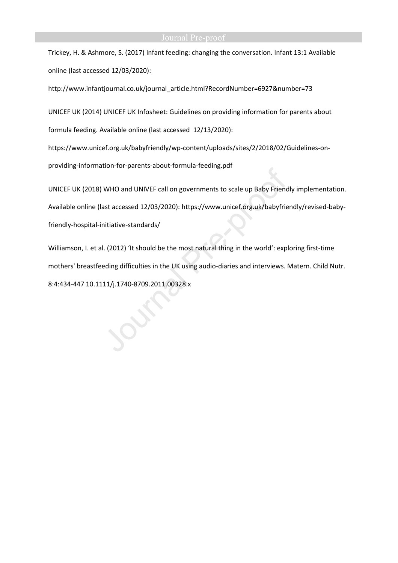Trickey, H. & Ashmore, S. (2017) Infant feeding: changing the conversation. Infant 13:1 Available online (last accessed 12/03/2020):

http://www.infantjournal.co.uk/journal\_article.html?RecordNumber=6927&number=73

UNICEF UK (2014) UNICEF UK Infosheet: Guidelines on providing information for parents about

formula feeding. Available online (last accessed 12/13/2020):

https://www.unicef.org.uk/babyfriendly/wp-content/uploads/sites/2/2018/02/Guidelines-on-

providing-information-for-parents-about-formula-feeding.pdf

UNICEF UK (2018) WHO and UNIVEF call on governments to scale up Baby Friendly implementation.

Available online (last accessed 12/03/2020): https://www.unicef.org.uk/babyfriendly/revised-baby-

friendly-hospital-initiative-standards/

Williamson, I. et al. (2012) 'It should be the most natural thing in the world': exploring first-time mothers' breastfeeding difficulties in the UK using audio-diaries and interviews. Matern. Child Nutr. 8:4:434-447 10.1111/j.1740-8709.2011.00328.x